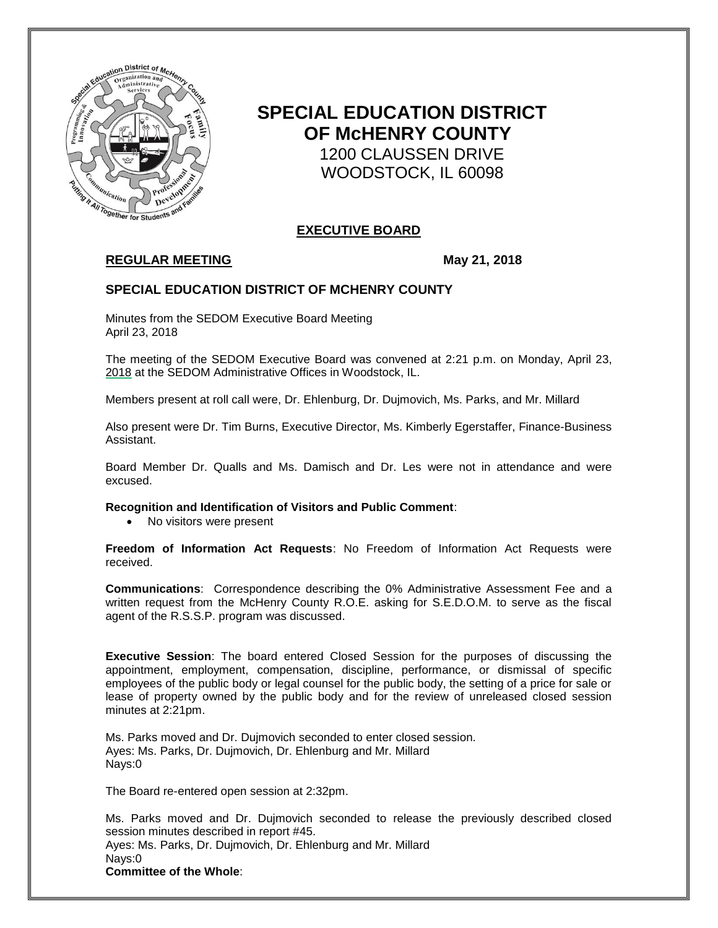

# **SPECIAL EDUCATION DISTRICT OF McHENRY COUNTY** 1200 CLAUSSEN DRIVE WOODSTOCK, IL 60098

# **EXECUTIVE BOARD**

# **REGULAR MEETING May 21, 2018**

## **SPECIAL EDUCATION DISTRICT OF MCHENRY COUNTY**

Minutes from the SEDOM Executive Board Meeting April 23, 2018

The meeting of the SEDOM Executive Board was convened at 2:21 p.m. on Monday, April 23, 2018 at the SEDOM Administrative Offices in Woodstock, IL.

Members present at roll call were, Dr. Ehlenburg, Dr. Dujmovich, Ms. Parks, and Mr. Millard

Also present were Dr. Tim Burns, Executive Director, Ms. Kimberly Egerstaffer, Finance-Business Assistant.

Board Member Dr. Qualls and Ms. Damisch and Dr. Les were not in attendance and were excused.

**Recognition and Identification of Visitors and Public Comment**:

• No visitors were present

**Freedom of Information Act Requests**: No Freedom of Information Act Requests were received.

**Communications**: Correspondence describing the 0% Administrative Assessment Fee and a written request from the McHenry County R.O.E. asking for S.E.D.O.M. to serve as the fiscal agent of the R.S.S.P. program was discussed.

**Executive Session**: The board entered Closed Session for the purposes of discussing the appointment, employment, compensation, discipline, performance, or dismissal of specific employees of the public body or legal counsel for the public body, the setting of a price for sale or lease of property owned by the public body and for the review of unreleased closed session minutes at 2:21pm.

Ms. Parks moved and Dr. Dujmovich seconded to enter closed session. Ayes: Ms. Parks, Dr. Dujmovich, Dr. Ehlenburg and Mr. Millard Nays:0

The Board re-entered open session at 2:32pm.

Ms. Parks moved and Dr. Dujmovich seconded to release the previously described closed session minutes described in report #45. Ayes: Ms. Parks, Dr. Dujmovich, Dr. Ehlenburg and Mr. Millard Nays:0 **Committee of the Whole**: